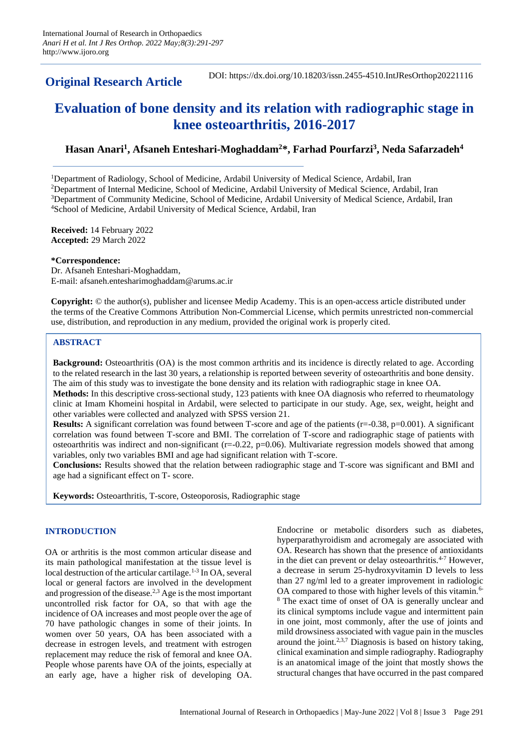# **Original Research Article**

DOI: https://dx.doi.org/10.18203/issn.2455-4510.IntJResOrthop20221116

# **Evaluation of bone density and its relation with radiographic stage in knee osteoarthritis, 2016-2017**

# **Hasan Anari<sup>1</sup> , Afsaneh Enteshari-Moghaddam<sup>2</sup>\*, Farhad Pourfarzi<sup>3</sup> , Neda Safarzadeh<sup>4</sup>**

<sup>1</sup>Department of Radiology, School of Medicine, Ardabil University of Medical Science, Ardabil, Iran

<sup>2</sup>Department of Internal Medicine, School of Medicine, Ardabil University of Medical Science, Ardabil, Iran <sup>3</sup>Department of Community Medicine, School of Medicine, Ardabil University of Medical Science, Ardabil, Iran <sup>4</sup>School of Medicine, Ardabil University of Medical Science, Ardabil, Iran

**Received:** 14 February 2022 **Accepted:** 29 March 2022

#### **\*Correspondence:**

Dr. Afsaneh Enteshari-Moghaddam, E-mail: afsaneh.entesharimoghaddam@arums.ac.ir

**Copyright:** © the author(s), publisher and licensee Medip Academy. This is an open-access article distributed under the terms of the Creative Commons Attribution Non-Commercial License, which permits unrestricted non-commercial use, distribution, and reproduction in any medium, provided the original work is properly cited.

## **ABSTRACT**

**Background:** Osteoarthritis (OA) is the most common arthritis and its incidence is directly related to age. According to the related research in the last 30 years, a relationship is reported between severity of osteoarthritis and bone density. The aim of this study was to investigate the bone density and its relation with radiographic stage in knee OA.

**Methods:** In this descriptive cross-sectional study, 123 patients with knee OA diagnosis who referred to rheumatology clinic at Imam Khomeini hospital in Ardabil, were selected to participate in our study. Age, sex, weight, height and other variables were collected and analyzed with SPSS version 21.

**Results:** A significant correlation was found between T-score and age of the patients  $(r=0.38, p=0.001)$ . A significant correlation was found between T-score and BMI. The correlation of T-score and radiographic stage of patients with osteoarthritis was indirect and non-significant (r=-0.22, p=0.06). Multivariate regression models showed that among variables, only two variables BMI and age had significant relation with T-score.

**Conclusions:** Results showed that the relation between radiographic stage and T-score was significant and BMI and age had a significant effect on T- score.

**Keywords:** Osteoarthritis, T-score, Osteoporosis, Radiographic stage

### **INTRODUCTION**

OA or arthritis is the most common articular disease and its main pathological manifestation at the tissue level is local destruction of the articular cartilage.<sup>1-3</sup> In OA, several local or general factors are involved in the development and progression of the disease.<sup>2,3</sup> Age is the most important uncontrolled risk factor for OA, so that with age the incidence of OA increases and most people over the age of 70 have pathologic changes in some of their joints. In women over 50 years, OA has been associated with a decrease in estrogen levels, and treatment with estrogen replacement may reduce the risk of femoral and knee OA. People whose parents have OA of the joints, especially at an early age, have a higher risk of developing OA. Endocrine or metabolic disorders such as diabetes, hyperparathyroidism and acromegaly are associated with OA. Research has shown that the presence of antioxidants in the diet can prevent or delay osteoarthritis.<sup>4-7</sup> However, a decrease in serum 25-hydroxyvitamin D levels to less than 27 ng/ml led to a greater improvement in radiologic OA compared to those with higher levels of this vitamin.<sup>6-</sup> <sup>8</sup> The exact time of onset of OA is generally unclear and its clinical symptoms include vague and intermittent pain in one joint, most commonly, after the use of joints and mild drowsiness associated with vague pain in the muscles around the joint. $2,3,7$  Diagnosis is based on history taking, clinical examination and simple radiography. Radiography is an anatomical image of the joint that mostly shows the structural changes that have occurred in the past compared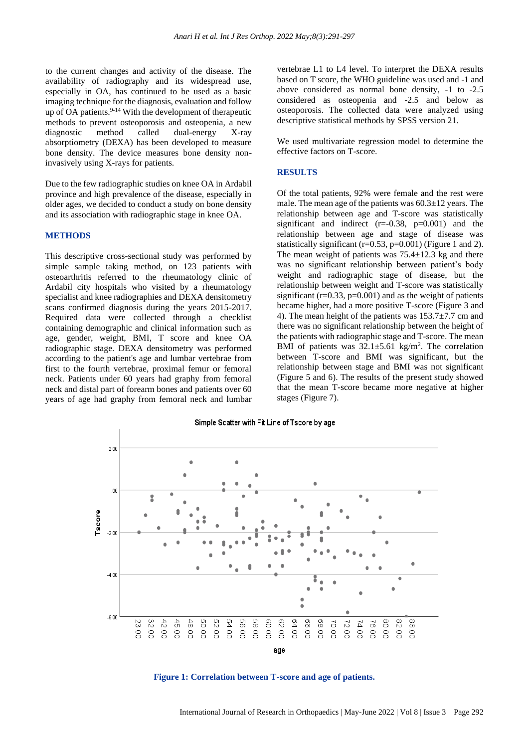to the current changes and activity of the disease. The availability of radiography and its widespread use, especially in OA, has continued to be used as a basic imaging technique for the diagnosis, evaluation and follow up of OA patients. $9-14$  With the development of therapeutic methods to prevent osteoporosis and osteopenia, a new diagnostic method called dual-energy X-ray absorptiometry (DEXA) has been developed to measure bone density. The device measures bone density noninvasively using X-rays for patients.

Due to the few radiographic studies on knee OA in Ardabil province and high prevalence of the disease, especially in older ages, we decided to conduct a study on bone density and its association with radiographic stage in knee OA.

#### **METHODS**

This descriptive cross-sectional study was performed by simple sample taking method, on 123 patients with osteoarthritis referred to the rheumatology clinic of Ardabil city hospitals who visited by a rheumatology specialist and knee radiographies and DEXA densitometry scans confirmed diagnosis during the years 2015-2017. Required data were collected through a checklist containing demographic and clinical information such as age, gender, weight, BMI, T score and knee OA radiographic stage. DEXA densitometry was performed according to the patient's age and lumbar vertebrae from first to the fourth vertebrae, proximal femur or femoral neck. Patients under 60 years had graphy from femoral neck and distal part of forearm bones and patients over 60 years of age had graphy from femoral neck and lumbar vertebrae L1 to L4 level. To interpret the DEXA results based on T score, the WHO guideline was used and -1 and above considered as normal bone density, -1 to -2.5 considered as osteopenia and -2.5 and below as osteoporosis. The collected data were analyzed using descriptive statistical methods by SPSS version 21.

We used multivariate regression model to determine the effective factors on T-score.

#### **RESULTS**

Of the total patients, 92% were female and the rest were male. The mean age of the patients was 60.3±12 years. The relationship between age and T-score was statistically significant and indirect  $(r=-0.38, p=0.001)$  and the relationship between age and stage of disease was statistically significant ( $r=0.53$ ,  $p=0.001$ ) (Figure 1 and 2). The mean weight of patients was  $75.4 \pm 12.3$  kg and there was no significant relationship between patient's body weight and radiographic stage of disease, but the relationship between weight and T-score was statistically significant ( $r=0.33$ ,  $p=0.001$ ) and as the weight of patients became higher, had a more positive T-score (Figure 3 and 4). The mean height of the patients was  $153.7 \pm 7.7$  cm and there was no significant relationship between the height of the patients with radiographic stage and T-score. The mean BMI of patients was  $32.1 \pm 5.61$  kg/m<sup>2</sup>. The correlation between T-score and BMI was significant, but the relationship between stage and BMI was not significant (Figure 5 and 6). The results of the present study showed that the mean T-score became more negative at higher stages (Figure 7).



**Figure 1: Correlation between T-score and age of patients.**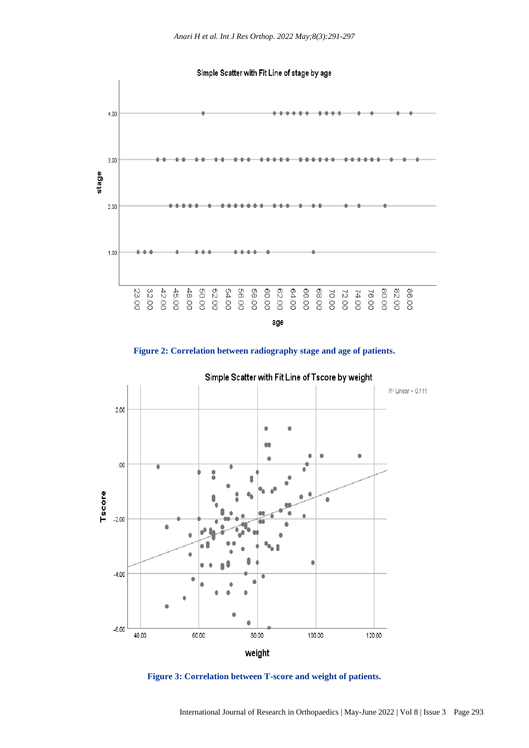Simple Scatter with Fit Line of stage by age



**Figure 2: Correlation between radiography stage and age of patients.**

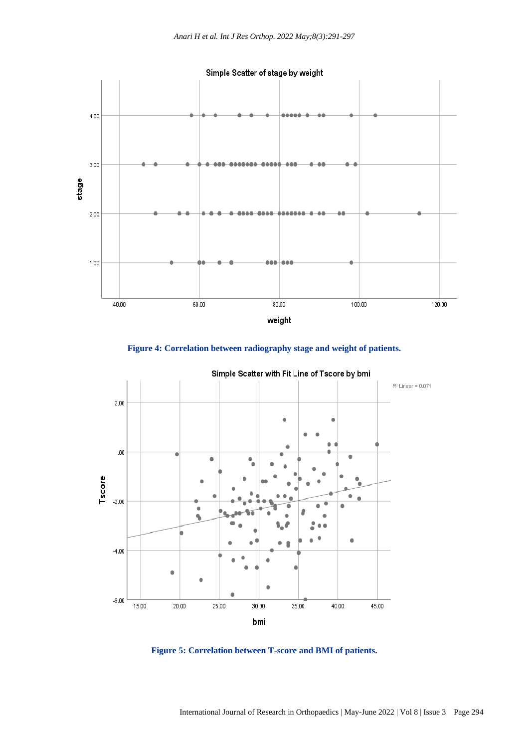

**Figure 4: Correlation between radiography stage and weight of patients.**



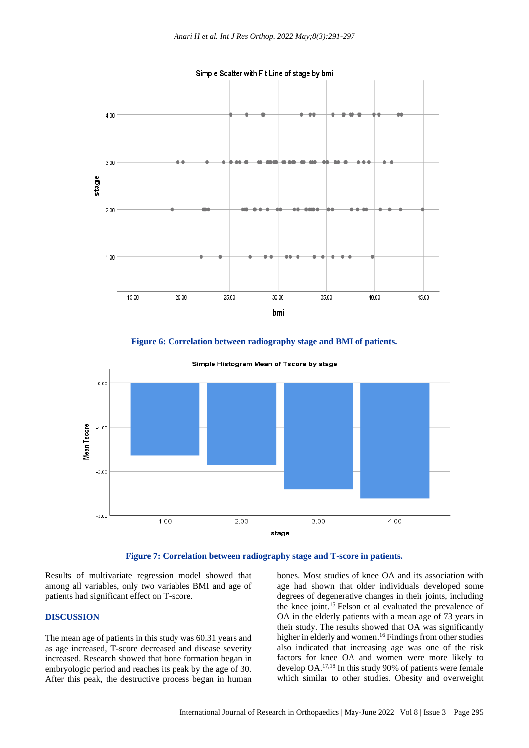

**Figure 6: Correlation between radiography stage and BMI of patients.**







Results of multivariate regression model showed that among all variables, only two variables BMI and age of patients had significant effect on T-score.

## **DISCUSSION**

The mean age of patients in this study was 60.31 years and as age increased, T-score decreased and disease severity increased. Research showed that bone formation began in embryologic period and reaches its peak by the age of 30. After this peak, the destructive process began in human

bones. Most studies of knee OA and its association with age had shown that older individuals developed some degrees of degenerative changes in their joints, including the knee joint.<sup>15</sup> Felson et al evaluated the prevalence of OA in the elderly patients with a mean age of 73 years in their study. The results showed that OA was significantly higher in elderly and women. <sup>16</sup> Findings from other studies also indicated that increasing age was one of the risk factors for knee OA and women were more likely to develop OA.17,18 In this study 90% of patients were female which similar to other studies. Obesity and overweight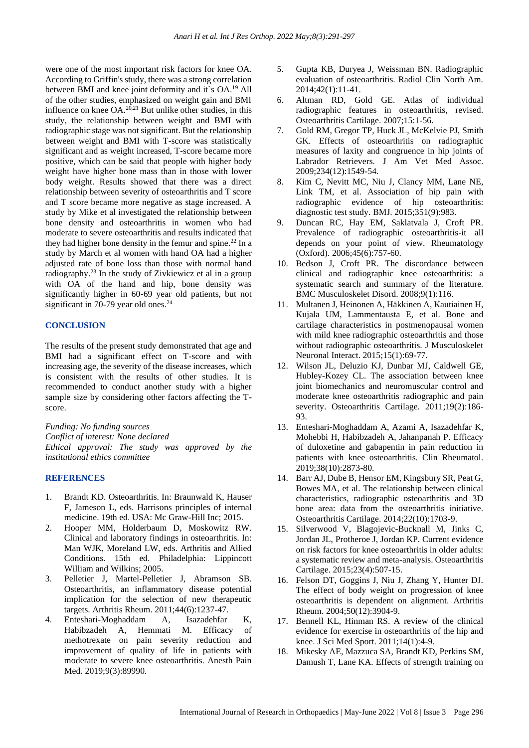were one of the most important risk factors for knee OA. According to Griffin's study, there was a strong correlation between BMI and knee joint deformity and it`s OA.<sup>19</sup> All of the other studies, emphasized on weight gain and BMI influence on knee  $OA^{20,21}$  But unlike other studies, in this study, the relationship between weight and BMI with radiographic stage was not significant. But the relationship between weight and BMI with T-score was statistically significant and as weight increased, T-score became more positive, which can be said that people with higher body weight have higher bone mass than in those with lower body weight. Results showed that there was a direct relationship between severity of osteoarthritis and T score and T score became more negative as stage increased. A study by Mike et al investigated the relationship between bone density and osteoarthritis in women who had moderate to severe osteoarthritis and results indicated that they had higher bone density in the femur and spine. <sup>22</sup> In a study by March et al women with hand OA had a higher adjusted rate of bone loss than those with normal hand radiography.<sup>23</sup> In the study of Zivkiewicz et al in a group with OA of the hand and hip, bone density was significantly higher in 60-69 year old patients, but not significant in 70-79 year old ones.<sup>24</sup>

#### **CONCLUSION**

The results of the present study demonstrated that age and BMI had a significant effect on T-score and with increasing age, the severity of the disease increases, which is consistent with the results of other studies. It is recommended to conduct another study with a higher sample size by considering other factors affecting the Tscore.

*Funding: No funding sources Conflict of interest: None declared Ethical approval: The study was approved by the institutional ethics committee*

#### **REFERENCES**

- 1. Brandt KD. Osteoarthritis. In: Braunwald K, Hauser F, Jameson L, eds. Harrisons principles of internal medicine. 19th ed. USA: Mc Graw-Hill Inc; 2015.
- 2. Hooper MM, Holderbaum D, Moskowitz RW. Clinical and laboratory findings in osteoarthritis. In: Man WJK, Moreland LW, eds. Arthritis and Allied Conditions. 15th ed. Philadelphia: Lippincott William and Wilkins; 2005.
- 3. Pelletier J, Martel-Pelletier J, Abramson SB. Osteoarthritis, an inflammatory disease potential implication for the selection of new therapeutic targets. Arthritis Rheum. 2011;44(6):1237-47.
- 4. Enteshari-Moghaddam A, Isazadehfar K, Habibzadeh A, Hemmati M. Efficacy of methotrexate on pain severity reduction and improvement of quality of life in patients with moderate to severe knee osteoarthritis. Anesth Pain Med. 2019;9(3):89990.
- 5. Gupta KB, Duryea J, Weissman BN. Radiographic evaluation of osteoarthritis. Radiol Clin North Am. 2014;42(1):11-41.
- 6. Altman RD, Gold GE. Atlas of individual radiographic features in osteoarthritis, revised. Osteoarthritis Cartilage. 2007;15:1-56.
- 7. Gold RM, Gregor TP, Huck JL, McKelvie PJ, Smith GK. Effects of osteoarthritis on radiographic measures of laxity and congruence in hip joints of Labrador Retrievers. J Am Vet Med Assoc. 2009;234(12):1549-54.
- 8. Kim C, Nevitt MC, Niu J, Clancy MM, Lane NE, Link TM, et al. Association of hip pain with radiographic evidence of hip osteoarthritis: diagnostic test study. BMJ. 2015;351(9):983.
- 9. Duncan RC, Hay EM, Saklatvala J, Croft PR. Prevalence of radiographic osteoarthritis-it all depends on your point of view. Rheumatology (Oxford). 2006;45(6):757-60.
- 10. Bedson J, Croft PR. The discordance between clinical and radiographic knee osteoarthritis: a systematic search and summary of the literature. BMC Musculoskelet Disord. 2008;9(1):116.
- 11. Multanen J, Heinonen A, Häkkinen A, Kautiainen H, Kujala UM, Lammentausta E, et al. Bone and cartilage characteristics in postmenopausal women with mild knee radiographic osteoarthritis and those without radiographic osteoarthritis. J Musculoskelet Neuronal Interact. 2015;15(1):69-77.
- 12. Wilson JL, Deluzio KJ, Dunbar MJ, Caldwell GE, Hubley-Kozey CL. The association between knee joint biomechanics and neuromuscular control and moderate knee osteoarthritis radiographic and pain severity. Osteoarthritis Cartilage. 2011;19(2):186- 93.
- 13. Enteshari-Moghaddam A, Azami A, Isazadehfar K, Mohebbi H, Habibzadeh A, Jahanpanah P. Efficacy of duloxetine and gabapentin in pain reduction in patients with knee osteoarthritis. Clin Rheumatol. 2019;38(10):2873-80.
- 14. Barr AJ, Dube B, Hensor EM, Kingsbury SR, Peat G, Bowes MA, et al. The relationship between clinical characteristics, radiographic osteoarthritis and 3D bone area: data from the osteoarthritis initiative. Osteoarthritis Cartilage. 2014;22(10):1703-9.
- 15. Silverwood V, Blagojevic-Bucknall M, Jinks C, Jordan JL, Protheroe J, Jordan KP. Current evidence on risk factors for knee osteoarthritis in older adults: a systematic review and meta-analysis. Osteoarthritis Cartilage. 2015;23(4):507-15.
- 16. Felson DT, Goggins J, Niu J, Zhang Y, Hunter DJ. The effect of body weight on progression of knee osteoarthritis is dependent on alignment. Arthritis Rheum. 2004;50(12):3904-9.
- 17. Bennell KL, Hinman RS. A review of the clinical evidence for exercise in osteoarthritis of the hip and knee. J Sci Med Sport. 2011;14(1):4-9.
- 18. Mikesky AE, Mazzuca SA, Brandt KD, Perkins SM, Damush T, Lane KA. Effects of strength training on